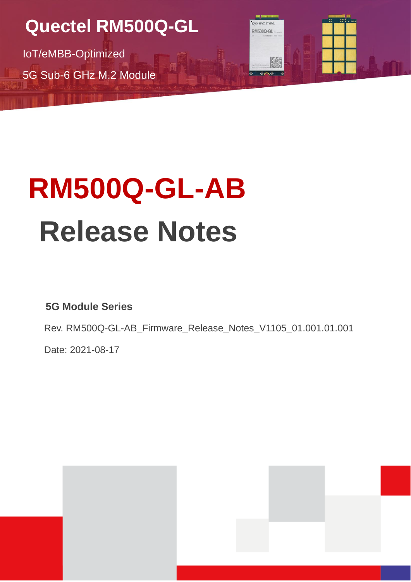**Quectel RM500Q-GL**

IoT/eMBB-Optimized 5G Sub-6 GHz M.2 Module

# **RM500Q-GL-AB Release Notes**

冊

**5G Module Series**

Rev. RM500Q-GL-AB\_Firmware\_Release\_Notes\_V1105\_01.001.01.001

RM500Q-GL

Date: 2021-08-17

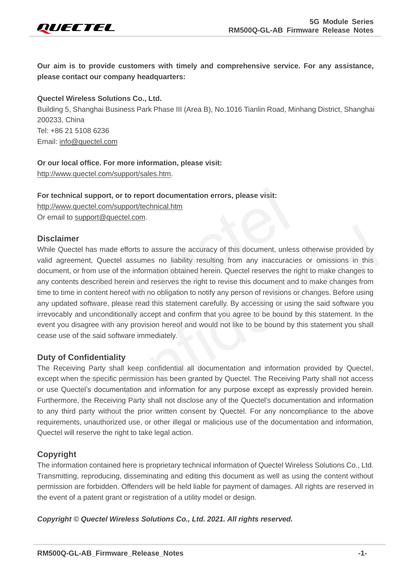

**Our aim is to provide customers with timely and comprehensive service. For any assistance, please contact our company headquarters:**

#### **Quectel Wireless Solutions Co., Ltd.**

Building 5, Shanghai Business Park Phase III (Area B), No.1016 Tianlin Road, Minhang District, Shanghai 200233, China Tel: +86 21 5108 6236 Email: [info@quectel.com](mailto:info@quectel.com)

#### **Or our local office. For more information, please visit:**

[http://www.quectel.com/support/sales.htm.](http://www.quectel.com/support/sales.htm)

## **For technical support, or to report documentation errors, please visit:**

http://www.quectel.com/support/technical.htm

Or email to support@quectel.com.

#### **Disclaimer**

While Quectel has made efforts to assure the accuracy of this document, unless otherwise provided by valid agreement, Quectel assumes no liability resulting from any inaccuracies or omissions in this document, or from use of the information obtained herein. Quectel reserves the right to make changes to any contents described herein and reserves the right to revise this document and to make changes from time to time in content hereof with no obligation to notify any person of revisions or changes. Before using any updated software, please read this statement carefully. By accessing or using the said software you irrevocably and unconditionally accept and confirm that you agree to be bound by this statement. In the event you disagree with any provision hereof and would not like to be bound by this statement you shall cease use of the said software immediately. support, or to report documentation errors, please visit:<br>
sectel.com/support/technical.htm<br>
pport@quectel.com.<br>
has made efforts to assure the accuracy of this document, unless othernt, Quectel assumes no liability result Confidential

#### **Duty of Confidentiality**

The Receiving Party shall keep confidential all documentation and information provided by Quectel, except when the specific permission has been granted by Quectel. The Receiving Party shall not access or use Quectel's documentation and information for any purpose except as expressly provided herein. Furthermore, the Receiving Party shall not disclose any of the Quectel's documentation and information to any third party without the prior written consent by Quectel. For any noncompliance to the above requirements, unauthorized use, or other illegal or malicious use of the documentation and information, Quectel will reserve the right to take legal action.

#### **Copyright**

The information contained here is proprietary technical information of Quectel Wireless Solutions Co., Ltd. Transmitting, reproducing, disseminating and editing this document as well as using the content without permission are forbidden. Offenders will be held liable for payment of damages. All rights are reserved in the event of a patent grant or registration of a utility model or design.

*Copyright © Quectel Wireless Solutions Co., Ltd. 2021. All rights reserved.*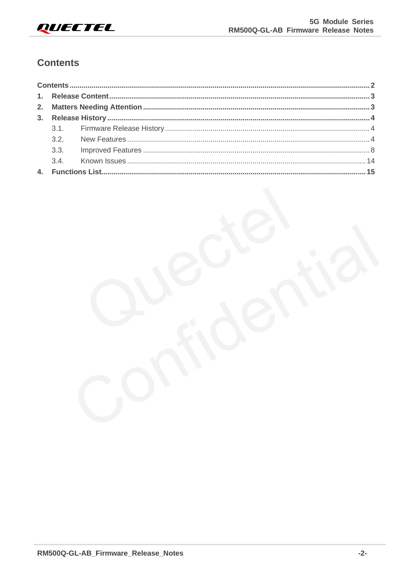

#### <span id="page-2-0"></span>**Contents**

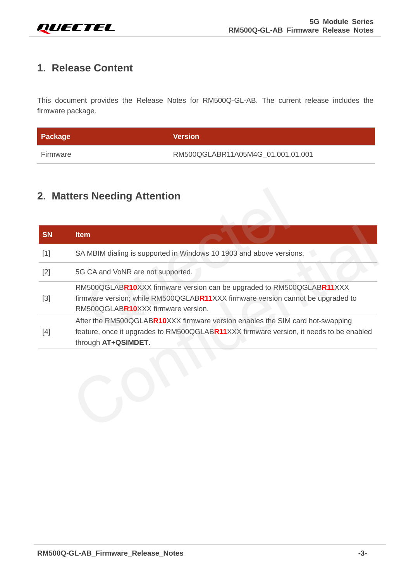

## <span id="page-3-0"></span>**1. Release Content**

This document provides the Release Notes for RM500Q-GL-AB. The current release includes the firmware package.

| Package  | <b>Version</b>                    |
|----------|-----------------------------------|
| Firmware | RM500QGLABR11A05M4G_01.001.01.001 |

# **2. Matters Needing Attention**

<span id="page-3-1"></span>

|       | <b>Item</b>                                                                                                                                                                                    |
|-------|------------------------------------------------------------------------------------------------------------------------------------------------------------------------------------------------|
| $[1]$ | SA MBIM dialing is supported in Windows 10 1903 and above versions.                                                                                                                            |
| $[2]$ | 5G CA and VoNR are not supported.                                                                                                                                                              |
| $[3]$ | RM500QGLABR10XXX firmware version can be upgraded to RM500QGLABR11XXX<br>firmware version; while RM500QGLABR11XXX firmware version cannot be upgraded to<br>RM500QGLABR10XXX firmware version. |
| $[4]$ | After the RM500QGLABR10XXX firmware version enables the SIM card hot-swapping<br>feature, once it upgrades to RM500QGLABR11XXX firmware version, it needs to be enabled<br>through AT+QSIMDET. |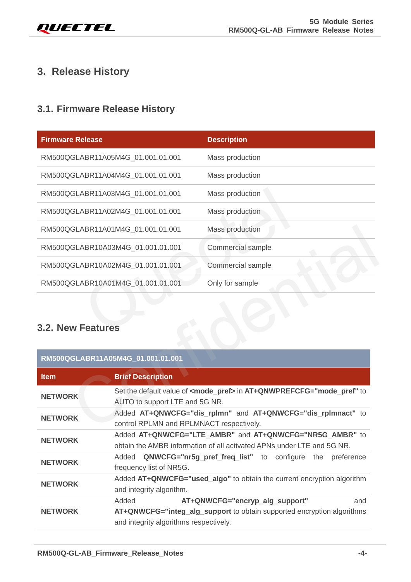# <span id="page-4-0"></span>**3. Release History**

## <span id="page-4-1"></span>**3.1. Firmware Release History**

| <b>Firmware Release</b>           | <b>Description</b> |
|-----------------------------------|--------------------|
| RM500QGLABR11A05M4G_01.001.01.001 | Mass production    |
| RM500QGLABR11A04M4G_01.001.01.001 | Mass production    |
| RM500QGLABR11A03M4G_01.001.01.001 | Mass production    |
| RM500QGLABR11A02M4G_01.001.01.001 | Mass production    |
| RM500QGLABR11A01M4G_01.001.01.001 | Mass production    |
| RM500QGLABR10A03M4G_01.001.01.001 | Commercial sample  |
| RM500QGLABR10A02M4G_01.001.01.001 | Commercial sample  |
| RM500QGLABR10A01M4G_01.001.01.001 | Only for sample    |
|                                   |                    |
| 3.2. New Features                 |                    |

## <span id="page-4-2"></span>**3.2. New Features**

|                          | RM500QGLABR11A01M4G_01.001.01.001               | Mass production                                                                                                                   |
|--------------------------|-------------------------------------------------|-----------------------------------------------------------------------------------------------------------------------------------|
|                          | RM500QGLABR10A03M4G_01.001.01.001               | Commercial sample                                                                                                                 |
|                          | RM500QGLABR10A02M4G_01.001.01.001               | Commercial sample                                                                                                                 |
|                          | RM500QGLABR10A01M4G 01.001.01.001               | Only for sample                                                                                                                   |
| <b>3.2. New Features</b> |                                                 |                                                                                                                                   |
|                          | RM500QGLABR11A05M4G_01.001.01.001               |                                                                                                                                   |
| <b>Item</b>              | <b>Brief Description</b>                        |                                                                                                                                   |
| <b>NETWORK</b>           | AUTO to support LTE and 5G NR.                  | Set the default value of <mode_pref> in AT+QNWPREFCFG="mode_pref" to</mode_pref>                                                  |
| <b>NETWORK</b>           | control RPLMN and RPLMNACT respectively.        | Added AT+QNWCFG="dis_rplmn" and AT+QNWCFG="dis_rplmnact" to                                                                       |
| <b>NETWORK</b>           |                                                 | Added AT+QNWCFG="LTE_AMBR" and AT+QNWCFG="NR5G_AMBR" to<br>obtain the AMBR information of all activated APNs under LTE and 5G NR. |
| <b>NETWORK</b>           | frequency list of NR5G.                         | Added QNWCFG="nr5g_pref_freq_list" to configure<br>the preference                                                                 |
| <b>NETWORK</b>           | and integrity algorithm.                        | Added AT+QNWCFG="used_algo" to obtain the current encryption algorithm                                                            |
| <b>NETWORK</b>           | Added<br>and integrity algorithms respectively. | AT+QNWCFG="encryp_alg_support"<br>and<br>AT+QNWCFG="integ_alg_support to obtain supported encryption algorithms                   |
|                          |                                                 |                                                                                                                                   |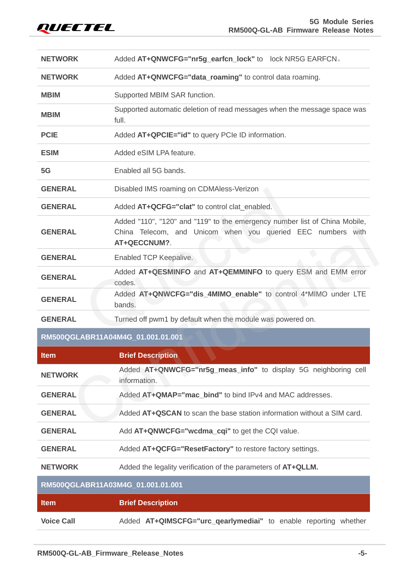

| <b>NETWORK</b> | Added AT+QNWCFG="nr5g_earfcn_lock" to lock NR5G EARFCN.                                                                                                   |
|----------------|-----------------------------------------------------------------------------------------------------------------------------------------------------------|
| <b>NETWORK</b> | Added AT+QNWCFG="data_roaming" to control data roaming.                                                                                                   |
| <b>MBIM</b>    | Supported MBIM SAR function.                                                                                                                              |
| <b>MBIM</b>    | Supported automatic deletion of read messages when the message space was<br>full.                                                                         |
| <b>PCIE</b>    | Added AT+QPCIE="id" to query PCIe ID information.                                                                                                         |
| <b>ESIM</b>    | Added eSIM LPA feature.                                                                                                                                   |
| 5G             | Enabled all 5G bands.                                                                                                                                     |
| <b>GENERAL</b> | Disabled IMS roaming on CDMAless-Verizon                                                                                                                  |
| <b>GENERAL</b> | Added AT+QCFG="clat" to control clat enabled.                                                                                                             |
| <b>GENERAL</b> | Added "110", "120" and "119" to the emergency number list of China Mobile,<br>China Telecom, and Unicom when you queried EEC numbers with<br>AT+QECCNUM?. |
| <b>GENERAL</b> | Enabled TCP Keepalive.                                                                                                                                    |
| <b>GENERAL</b> | Added AT+QESMINFO and AT+QEMMINFO to query ESM and EMM error<br>codes.                                                                                    |
| <b>GENERAL</b> | Added AT+QNWCFG="dis_4MIMO_enable" to control 4*MIMO under LTE<br>bands.                                                                                  |
| <b>GENERAL</b> | Turned off pwm1 by default when the module was powered on.                                                                                                |
|                | RM500QGLABR11A04M4G_01.001.01.001                                                                                                                         |
| <b>Item</b>    | <b>Brief Description</b>                                                                                                                                  |
| <b>NETWORK</b> | Added AT+QNWCFG="nr5g_meas_info" to display 5G neighboring cell<br>information.                                                                           |
| <b>GENERAL</b> | Added AT+QMAP="mac_bind" to bind IPv4 and MAC addresses.                                                                                                  |
| <b>GENERAL</b> | Added AT+QSCAN to scan the base station information without a SIM card.                                                                                   |
| <b>GENERAL</b> | Add AT+QNWCFG="wcdma_cqi" to get the CQI value.                                                                                                           |
| <b>GENERAL</b> | Added AT+QCFG="ResetFactory" to restore factory settings.                                                                                                 |
| <b>NETWORK</b> | Added the legality verification of the parameters of AT+QLLM.                                                                                             |
|                | RM500QGLABR11A03M4G_01.001.01.001                                                                                                                         |
|                |                                                                                                                                                           |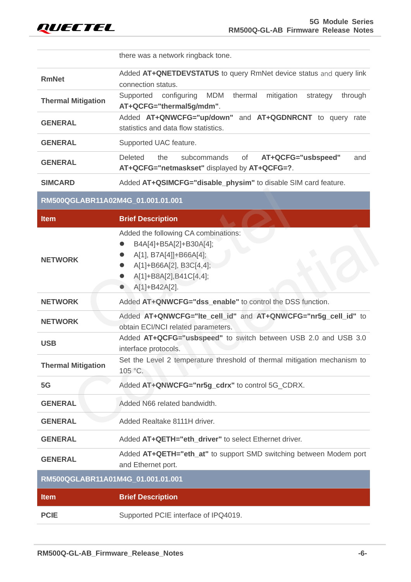

|                                   | there was a network ringback tone.                                                                                                                                                                                 |
|-----------------------------------|--------------------------------------------------------------------------------------------------------------------------------------------------------------------------------------------------------------------|
| <b>RmNet</b>                      | Added AT+QNETDEVSTATUS to query RmNet device status and query link<br>connection status.                                                                                                                           |
| <b>Thermal Mitigation</b>         | <b>MDM</b><br>Supported<br>configuring<br>thermal<br>mitigation<br>through<br>strategy<br>AT+QCFG="thermal5g/mdm".                                                                                                 |
| <b>GENERAL</b>                    | Added AT+QNWCFG="up/down" and AT+QGDNRCNT to query rate<br>statistics and data flow statistics.                                                                                                                    |
| <b>GENERAL</b>                    | Supported UAC feature.                                                                                                                                                                                             |
| <b>GENERAL</b>                    | Deleted<br>subcommands<br>of<br>AT+QCFG="usbspeed"<br>the<br>and<br>AT+QCFG="netmaskset" displayed by AT+QCFG=?.                                                                                                   |
| <b>SIMCARD</b>                    | Added AT+QSIMCFG="disable_physim" to disable SIM card feature.                                                                                                                                                     |
| RM500QGLABR11A02M4G_01.001.01.001 |                                                                                                                                                                                                                    |
| <b>Item</b>                       | <b>Brief Description</b>                                                                                                                                                                                           |
| <b>NETWORK</b>                    | Added the following CA combinations:<br>B4A[4]+B5A[2]+B30A[4];<br>A[1], B7A[4]]+B66A[4];<br>$\bullet$<br>A[1]+B66A[2], B3C[4,4];<br>$\bullet$<br>A[1]+B8A[2],B41C[4,4];<br>$\bullet$<br>A[1]+B42A[2].<br>$\bullet$ |
| <b>NETWORK</b>                    | Added AT+QNWCFG="dss_enable" to control the DSS function.                                                                                                                                                          |
| <b>NETWORK</b>                    | Added AT+QNWCFG="Ite_cell_id" and AT+QNWCFG="nr5g_cell_id" to<br>obtain ECI/NCI related parameters.                                                                                                                |
| <b>USB</b>                        | Added AT+QCFG="usbspeed" to switch between USB 2.0 and USB 3.0<br>interface protocols.                                                                                                                             |
| <b>Thermal Mitigation</b>         | Set the Level 2 temperature threshold of thermal mitigation mechanism to<br>105 °C.                                                                                                                                |
| 5G                                | Added AT+QNWCFG="nr5g_cdrx" to control 5G_CDRX.                                                                                                                                                                    |
| <b>GENERAL</b>                    | Added N66 related bandwidth.                                                                                                                                                                                       |
| <b>GENERAL</b>                    | Added Realtake 8111H driver.                                                                                                                                                                                       |
| <b>GENERAL</b>                    | Added AT+QETH="eth_driver" to select Ethernet driver.                                                                                                                                                              |
| <b>GENERAL</b>                    | Added AT+QETH="eth_at" to support SMD switching between Modem port<br>and Ethernet port.                                                                                                                           |
| RM500QGLABR11A01M4G_01.001.01.001 |                                                                                                                                                                                                                    |
| <b>Item</b>                       | <b>Brief Description</b>                                                                                                                                                                                           |
| <b>PCIE</b>                       | Supported PCIE interface of IPQ4019.                                                                                                                                                                               |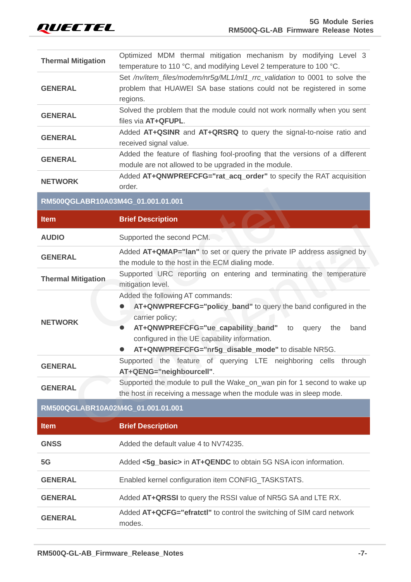| Optimized MDM thermal mitigation mechanism by modifying Level 3<br>temperature to 110 °C, and modifying Level 2 temperature to 100 °C.                                                                                                                                                        |
|-----------------------------------------------------------------------------------------------------------------------------------------------------------------------------------------------------------------------------------------------------------------------------------------------|
| Set /nv/item_files/modem/nr5g/ML1/ml1_rrc_validation to 0001 to solve the<br>problem that HUAWEI SA base stations could not be registered in some<br>regions.                                                                                                                                 |
| Solved the problem that the module could not work normally when you sent<br>files via AT+QFUPL.                                                                                                                                                                                               |
| Added AT+QSINR and AT+QRSRQ to query the signal-to-noise ratio and<br>received signal value.                                                                                                                                                                                                  |
| Added the feature of flashing fool-proofing that the versions of a different<br>module are not allowed to be upgraded in the module.                                                                                                                                                          |
| Added AT+QNWPREFCFG="rat_acq_order" to specify the RAT acquisition<br>order.                                                                                                                                                                                                                  |
| RM500QGLABR10A03M4G_01.001.01.001                                                                                                                                                                                                                                                             |
| <b>Brief Description</b>                                                                                                                                                                                                                                                                      |
| Supported the second PCM.                                                                                                                                                                                                                                                                     |
| Added AT+QMAP="lan" to set or query the private IP address assigned by<br>the module to the host in the ECM dialing mode.                                                                                                                                                                     |
| Supported URC reporting on entering and terminating the temperature<br>mitigation level.                                                                                                                                                                                                      |
| Added the following AT commands:<br>AT+QNWPREFCFG="policy_band" to query the band configured in the<br>carrier policy;<br>AT+QNWPREFCFG="ue_capability_band" to<br>query<br>band<br>the<br>configured in the UE capability information.<br>AT+QNWPREFCFG="nr5g_disable_mode" to disable NR5G. |
| Supported the feature of querying LTE neighboring cells through<br>AT+QENG="neighbourcell".                                                                                                                                                                                                   |
| Supported the module to pull the Wake_on_wan pin for 1 second to wake up<br>the host in receiving a message when the module was in sleep mode.                                                                                                                                                |
|                                                                                                                                                                                                                                                                                               |
| RM500QGLABR10A02M4G 01.001.01.001                                                                                                                                                                                                                                                             |
| <b>Brief Description</b>                                                                                                                                                                                                                                                                      |
| Added the default value 4 to NV74235.                                                                                                                                                                                                                                                         |
| Added <5g_basic> in AT+QENDC to obtain 5G NSA icon information.                                                                                                                                                                                                                               |
| Enabled kernel configuration item CONFIG_TASKSTATS.                                                                                                                                                                                                                                           |
| Added AT+QRSSI to query the RSSI value of NR5G SA and LTE RX.                                                                                                                                                                                                                                 |
|                                                                                                                                                                                                                                                                                               |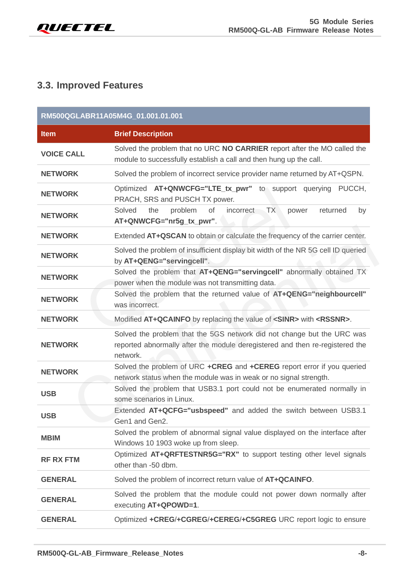

## <span id="page-8-0"></span>**3.3. Improved Features**

|                   | RM500QGLABR11A05M4G 01.001.01.001                                                                                                                                  |
|-------------------|--------------------------------------------------------------------------------------------------------------------------------------------------------------------|
| <b>Item</b>       | <b>Brief Description</b>                                                                                                                                           |
| <b>VOICE CALL</b> | Solved the problem that no URC NO CARRIER report after the MO called the<br>module to successfully establish a call and then hung up the call.                     |
| <b>NETWORK</b>    | Solved the problem of incorrect service provider name returned by AT+QSPN.                                                                                         |
| <b>NETWORK</b>    | Optimized AT+QNWCFG="LTE_tx_pwr" to support querying PUCCH,<br>PRACH, SRS and PUSCH TX power.                                                                      |
| <b>NETWORK</b>    | Solved<br>the<br>problem<br><b>of</b><br><b>TX</b><br><i>incorrect</i><br>returned<br>power<br>by<br>AT+QNWCFG="nr5g_tx_pwr".                                      |
| <b>NETWORK</b>    | Extended AT+QSCAN to obtain or calculate the frequency of the carrier center.                                                                                      |
| <b>NETWORK</b>    | Solved the problem of insufficient display bit width of the NR 5G cell ID queried<br>by AT+QENG="servingcell".                                                     |
| <b>NETWORK</b>    | Solved the problem that AT+QENG="servingcell" abnormally obtained TX<br>power when the module was not transmitting data.                                           |
| <b>NETWORK</b>    | Solved the problem that the returned value of AT+QENG="neighbourcell"<br>was incorrect.                                                                            |
| <b>NETWORK</b>    | Modified AT+QCAINFO by replacing the value of <sinr> with <rssnr>.</rssnr></sinr>                                                                                  |
| <b>NETWORK</b>    | Solved the problem that the 5GS network did not change but the URC was<br>reported abnormally after the module deregistered and then re-registered the<br>network. |
| <b>NETWORK</b>    | Solved the problem of URC +CREG and +CEREG report error if you queried<br>network status when the module was in weak or no signal strength.                        |
| <b>USB</b>        | Solved the problem that USB3.1 port could not be enumerated normally in<br>some scenarios in Linux.                                                                |
| <b>USB</b>        | Extended AT+QCFG="usbspeed" and added the switch between USB3.1<br>Gen1 and Gen2.                                                                                  |
| <b>MBIM</b>       | Solved the problem of abnormal signal value displayed on the interface after<br>Windows 10 1903 woke up from sleep.                                                |
| <b>RF RX FTM</b>  | Optimized AT+QRFTESTNR5G="RX" to support testing other level signals<br>other than -50 dbm.                                                                        |
| <b>GENERAL</b>    | Solved the problem of incorrect return value of AT+QCAINFO.                                                                                                        |
| <b>GENERAL</b>    | Solved the problem that the module could not power down normally after<br>executing AT+QPOWD=1.                                                                    |
| <b>GENERAL</b>    | Optimized +CREG/+CGREG/+CEREG/+C5GREG URC report logic to ensure                                                                                                   |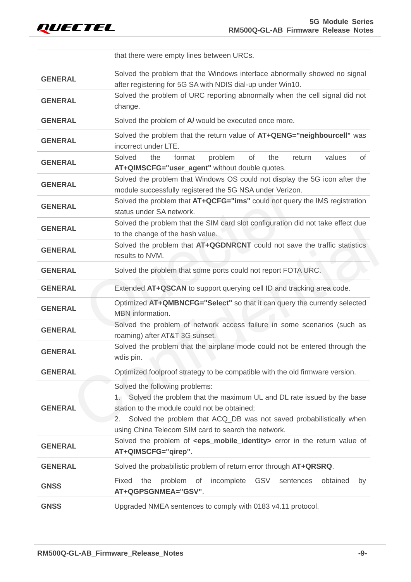

|                | that there were empty lines between URCs.                                                                                                                                                                                                                                                         |
|----------------|---------------------------------------------------------------------------------------------------------------------------------------------------------------------------------------------------------------------------------------------------------------------------------------------------|
| <b>GENERAL</b> | Solved the problem that the Windows interface abnormally showed no signal<br>after registering for 5G SA with NDIS dial-up under Win10.                                                                                                                                                           |
| <b>GENERAL</b> | Solved the problem of URC reporting abnormally when the cell signal did not<br>change.                                                                                                                                                                                                            |
| <b>GENERAL</b> | Solved the problem of A/ would be executed once more.                                                                                                                                                                                                                                             |
| <b>GENERAL</b> | Solved the problem that the return value of AT+QENG="neighbourcell" was<br>incorrect under LTE.                                                                                                                                                                                                   |
| <b>GENERAL</b> | Solved<br>of<br>the<br>format<br>problem<br>of<br>the<br>values<br>return<br>AT+QIMSCFG="user_agent" without double quotes.                                                                                                                                                                       |
| <b>GENERAL</b> | Solved the problem that Windows OS could not display the 5G icon after the<br>module successfully registered the 5G NSA under Verizon.                                                                                                                                                            |
| <b>GENERAL</b> | Solved the problem that AT+QCFG="ims" could not query the IMS registration<br>status under SA network.                                                                                                                                                                                            |
| <b>GENERAL</b> | Solved the problem that the SIM card slot configuration did not take effect due<br>to the change of the hash value.                                                                                                                                                                               |
| <b>GENERAL</b> | Solved the problem that AT+QGDNRCNT could not save the traffic statistics<br>results to NVM.                                                                                                                                                                                                      |
| <b>GENERAL</b> | Solved the problem that some ports could not report FOTA URC.                                                                                                                                                                                                                                     |
| <b>GENERAL</b> | Extended AT+QSCAN to support querying cell ID and tracking area code.                                                                                                                                                                                                                             |
| <b>GENERAL</b> | Optimized AT+QMBNCFG="Select" so that it can query the currently selected<br>MBN information.                                                                                                                                                                                                     |
| <b>GENERAL</b> | Solved the problem of network access failure in some scenarios (such as<br>roaming) after AT&T 3G sunset.                                                                                                                                                                                         |
| <b>GENERAL</b> | Solved the problem that the airplane mode could not be entered through the<br>wdis pin.                                                                                                                                                                                                           |
| <b>GENERAL</b> | Optimized foolproof strategy to be compatible with the old firmware version.                                                                                                                                                                                                                      |
| <b>GENERAL</b> | Solved the following problems:<br>Solved the problem that the maximum UL and DL rate issued by the base<br>1.<br>station to the module could not be obtained;<br>2.<br>Solved the problem that ACQ_DB was not saved probabilistically when<br>using China Telecom SIM card to search the network. |
| <b>GENERAL</b> | Solved the problem of <eps_mobile_identity> error in the return value of<br/>AT+QIMSCFG="qirep".</eps_mobile_identity>                                                                                                                                                                            |
| <b>GENERAL</b> | Solved the probabilistic problem of return error through AT+QRSRQ.                                                                                                                                                                                                                                |
|                | Fixed<br>the<br>problem<br>of<br>incomplete<br><b>GSV</b><br>sentences<br>obtained<br>by                                                                                                                                                                                                          |
| <b>GNSS</b>    | AT+QGPSGNMEA="GSV".                                                                                                                                                                                                                                                                               |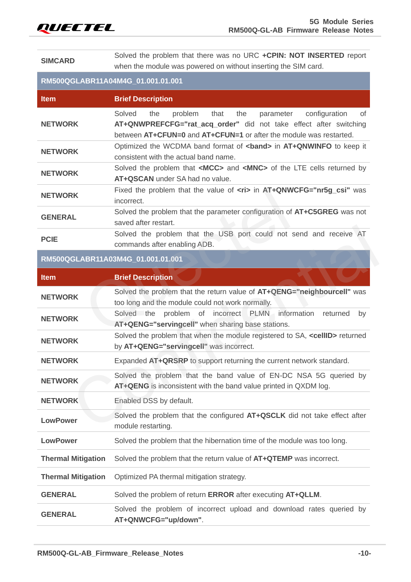

**SIMCARD** Solved the problem that there was no URC **+CPIN: NOT INSERTED** report when the module was powered on without inserting the SIM card.

#### **RM500QGLABR11A04M4G\_01.001.01.001**

| <b>Item</b>               | <b>Brief Description</b>                                                                                                                                                                                               |
|---------------------------|------------------------------------------------------------------------------------------------------------------------------------------------------------------------------------------------------------------------|
| <b>NETWORK</b>            | Solved<br>configuration<br>the<br>problem<br>that<br>the<br>parameter<br>0f<br>AT+QNWPREFCFG="rat_acq_order" did not take effect after switching<br>between AT+CFUN=0 and AT+CFUN=1 or after the module was restarted. |
| <b>NETWORK</b>            | Optimized the WCDMA band format of <band> in AT+QNWINFO to keep it<br/>consistent with the actual band name.</band>                                                                                                    |
| <b>NETWORK</b>            | Solved the problem that <mcc> and <mnc> of the LTE cells returned by<br/>AT+QSCAN under SA had no value.</mnc></mcc>                                                                                                   |
| <b>NETWORK</b>            | Fixed the problem that the value of <ri> in AT+QNWCFG="nr5g_csi" was<br/>incorrect.</ri>                                                                                                                               |
| <b>GENERAL</b>            | Solved the problem that the parameter configuration of AT+C5GREG was not<br>saved after restart.                                                                                                                       |
| <b>PCIE</b>               | Solved the problem that the USB port could not send and receive AT<br>commands after enabling ADB.                                                                                                                     |
|                           | RM500QGLABR11A03M4G_01.001.01.001                                                                                                                                                                                      |
| <b>Item</b>               | <b>Brief Description</b>                                                                                                                                                                                               |
| <b>NETWORK</b>            | Solved the problem that the return value of AT+QENG="neighbourcell" was<br>too long and the module could not work normally.                                                                                            |
| <b>NETWORK</b>            | Solved the<br>problem<br>of<br>incorrect PLMN information<br>returned<br>by<br>AT+QENG="servingcell" when sharing base stations.                                                                                       |
| <b>NETWORK</b>            | Solved the problem that when the module registered to SA, <cellid> returned<br/>by AT+QENG="servingcell" was incorrect.</cellid>                                                                                       |
| <b>NETWORK</b>            | Expanded AT+QRSRP to support returning the current network standard.                                                                                                                                                   |
| <b>NETWORK</b>            | Solved the problem that the band value of EN-DC NSA 5G queried by<br>AT+QENG is inconsistent with the band value printed in QXDM log.                                                                                  |
| <b>NETWORK</b>            | Enabled DSS by default.                                                                                                                                                                                                |
| <b>LowPower</b>           | Solved the problem that the configured AT+QSCLK did not take effect after<br>module restarting.                                                                                                                        |
| <b>LowPower</b>           | Solved the problem that the hibernation time of the module was too long.                                                                                                                                               |
| <b>Thermal Mitigation</b> | Solved the problem that the return value of AT+QTEMP was incorrect.                                                                                                                                                    |
| <b>Thermal Mitigation</b> | Optimized PA thermal mitigation strategy.                                                                                                                                                                              |
| <b>GENERAL</b>            | Solved the problem of return ERROR after executing AT+QLLM.                                                                                                                                                            |
| <b>GENERAL</b>            | Solved the problem of incorrect upload and download rates queried by<br>AT+QNWCFG="up/down".                                                                                                                           |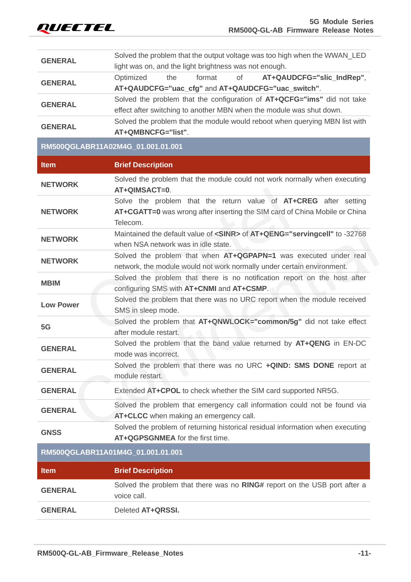| <b>GENERAL</b>   | Solved the problem that the output voltage was too high when the WWAN LED<br>light was on, and the light brightness was not enough.                        |
|------------------|------------------------------------------------------------------------------------------------------------------------------------------------------------|
| <b>GENERAL</b>   | of<br>the<br>format<br>AT+QAUDCFG="slic_IndRep",<br>Optimized<br>AT+QAUDCFG="uac_cfg" and AT+QAUDCFG="uac_switch".                                         |
| <b>GENERAL</b>   | Solved the problem that the configuration of AT+QCFG="ims" did not take<br>effect after switching to another MBN when the module was shut down.            |
| <b>GENERAL</b>   | Solved the problem that the module would reboot when querying MBN list with<br>AT+QMBNCFG="list".                                                          |
|                  | RM500QGLABR11A02M4G_01.001.01.001                                                                                                                          |
| <b>Item</b>      | <b>Brief Description</b>                                                                                                                                   |
| <b>NETWORK</b>   | Solved the problem that the module could not work normally when executing<br>AT+QIMSACT=0.                                                                 |
| <b>NETWORK</b>   | Solve the problem that the return value of AT+CREG after setting<br>AT+CGATT=0 was wrong after inserting the SIM card of China Mobile or China<br>Telecom. |
| <b>NETWORK</b>   | Maintained the default value of <sinr> of AT+QENG="servingcell" to -32768<br/>when NSA network was in idle state.</sinr>                                   |
| <b>NETWORK</b>   | Solved the problem that when AT+QGPAPN=1 was executed under real<br>network, the module would not work normally under certain environment.                 |
| <b>MBIM</b>      | Solved the problem that there is no notification report on the host after<br>configuring SMS with AT+CNMI and AT+CSMP.                                     |
| <b>Low Power</b> | Solved the problem that there was no URC report when the module received<br>SMS in sleep mode.                                                             |
|                  |                                                                                                                                                            |
| 5G               | Solved the problem that AT+QNWLOCK="common/5g" did not take effect<br>after module restart.                                                                |
| <b>GENERAL</b>   | Solved the problem that the band value returned by AT+QENG in EN-DC<br>mode was incorrect.                                                                 |
| <b>GENERAL</b>   | Solved the problem that there was no URC +QIND: SMS DONE report at<br>module restart.                                                                      |
| <b>GENERAL</b>   | Extended AT+CPOL to check whether the SIM card supported NR5G.                                                                                             |
| <b>GENERAL</b>   | Solved the problem that emergency call information could not be found via<br>AT+CLCC when making an emergency call.                                        |
| <b>GNSS</b>      | Solved the problem of returning historical residual information when executing<br>AT+QGPSGNMEA for the first time.                                         |
|                  | RM500QGLABR11A01M4G_01.001.01.001                                                                                                                          |
| <b>Item</b>      | <b>Brief Description</b>                                                                                                                                   |
| <b>GENERAL</b>   | Solved the problem that there was no RING# report on the USB port after a<br>voice call.                                                                   |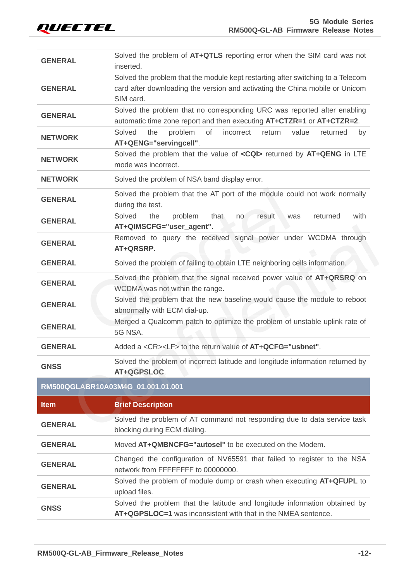| <b>GENERAL</b> | Solved the problem of AT+QTLS reporting error when the SIM card was not<br>inserted.                                                                                         |  |  |  |  |
|----------------|------------------------------------------------------------------------------------------------------------------------------------------------------------------------------|--|--|--|--|
| <b>GENERAL</b> | Solved the problem that the module kept restarting after switching to a Telecom<br>card after downloading the version and activating the China mobile or Unicom<br>SIM card. |  |  |  |  |
| <b>GENERAL</b> | Solved the problem that no corresponding URC was reported after enabling<br>automatic time zone report and then executing AT+CTZR=1 or AT+CTZR=2.                            |  |  |  |  |
| <b>NETWORK</b> | Solved<br>problem<br>of<br>incorrect<br>the<br>return<br>value<br>returned<br>by<br>AT+QENG="servingcell".                                                                   |  |  |  |  |
| <b>NETWORK</b> | Solved the problem that the value of <cqi> returned by AT+QENG in LTE<br/>mode was incorrect.</cqi>                                                                          |  |  |  |  |
| <b>NETWORK</b> | Solved the problem of NSA band display error.                                                                                                                                |  |  |  |  |
| <b>GENERAL</b> | Solved the problem that the AT port of the module could not work normally<br>during the test.                                                                                |  |  |  |  |
| <b>GENERAL</b> | Solved<br>the<br>with<br>problem<br>that<br>result<br>returned<br>was<br>no<br>AT+QIMSCFG="user_agent".                                                                      |  |  |  |  |
| <b>GENERAL</b> | Removed to query the received signal power under WCDMA through<br>AT+QRSRP.                                                                                                  |  |  |  |  |
| <b>GENERAL</b> | Solved the problem of failing to obtain LTE neighboring cells information.                                                                                                   |  |  |  |  |
| <b>GENERAL</b> | Solved the problem that the signal received power value of AT+QRSRQ on<br>WCDMA was not within the range.                                                                    |  |  |  |  |
| <b>GENERAL</b> | Solved the problem that the new baseline would cause the module to reboot<br>abnormally with ECM dial-up.                                                                    |  |  |  |  |
| <b>GENERAL</b> | Merged a Qualcomm patch to optimize the problem of unstable uplink rate of<br>5G NSA.                                                                                        |  |  |  |  |
| <b>GENERAL</b> | Added a <cr><lf> to the return value of AT+QCFG="usbnet".</lf></cr>                                                                                                          |  |  |  |  |
| <b>GNSS</b>    | Solved the problem of incorrect latitude and longitude information returned by<br>AT+QGPSLOC.                                                                                |  |  |  |  |
|                | RM500QGLABR10A03M4G_01.001.01.001                                                                                                                                            |  |  |  |  |
| <b>Item</b>    | <b>Brief Description</b>                                                                                                                                                     |  |  |  |  |
| <b>GENERAL</b> | Solved the problem of AT command not responding due to data service task<br>blocking during ECM dialing.                                                                     |  |  |  |  |
| <b>GENERAL</b> | Moved AT+QMBNCFG="autosel" to be executed on the Modem.                                                                                                                      |  |  |  |  |
|                | Changed the configuration of NV65591 that failed to register to the NSA                                                                                                      |  |  |  |  |

**GENERAL** network from FFFFFFFF to 00000000. **GENERAL** Solved the problem of module dump or crash when executing **AT+QFUPL** to upload files. **GNSS** Solved the problem that the latitude and longitude information obtained by **AT+QGPSLOC=1** was inconsistent with that in the NMEA sentence.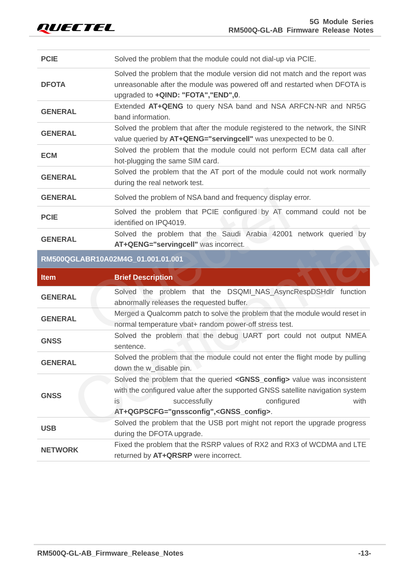**USB**

<span id="page-13-0"></span>**NETWORK**

| <b>PCIE</b>    | Solved the problem that the module could not dial-up via PCIE.                                                                                                                                                                                                                                                                                                                                                                         |  |  |  |
|----------------|----------------------------------------------------------------------------------------------------------------------------------------------------------------------------------------------------------------------------------------------------------------------------------------------------------------------------------------------------------------------------------------------------------------------------------------|--|--|--|
| <b>DFOTA</b>   | Solved the problem that the module version did not match and the report was<br>unreasonable after the module was powered off and restarted when DFOTA is<br>upgraded to +QIND: "FOTA", "END",0.                                                                                                                                                                                                                                        |  |  |  |
| <b>GENERAL</b> | Extended AT+QENG to query NSA band and NSA ARFCN-NR and NR5G<br>band information.                                                                                                                                                                                                                                                                                                                                                      |  |  |  |
| <b>GENERAL</b> | Solved the problem that after the module registered to the network, the SINR<br>value queried by AT+QENG="servingcell" was unexpected to be 0.                                                                                                                                                                                                                                                                                         |  |  |  |
| <b>ECM</b>     | Solved the problem that the module could not perform ECM data call after<br>hot-plugging the same SIM card.                                                                                                                                                                                                                                                                                                                            |  |  |  |
| <b>GENERAL</b> | Solved the problem that the AT port of the module could not work normally<br>during the real network test.                                                                                                                                                                                                                                                                                                                             |  |  |  |
| <b>GENERAL</b> | Solved the problem of NSA band and frequency display error.                                                                                                                                                                                                                                                                                                                                                                            |  |  |  |
| <b>PCIE</b>    | Solved the problem that PCIE configured by AT command could not be<br>identified on IPQ4019.                                                                                                                                                                                                                                                                                                                                           |  |  |  |
| <b>GENERAL</b> | Solved the problem that the Saudi Arabia 42001 network queried by<br>AT+QENG="servingcell" was incorrect.                                                                                                                                                                                                                                                                                                                              |  |  |  |
|                | RM500QGLABR10A02M4G_01.001.01.001                                                                                                                                                                                                                                                                                                                                                                                                      |  |  |  |
| <b>Item</b>    | <b>Brief Description</b>                                                                                                                                                                                                                                                                                                                                                                                                               |  |  |  |
| <b>GENERAL</b> | Solved the problem that the DSQMI_NAS_AsyncRespDSHdlr function<br>abnormally releases the requested buffer.                                                                                                                                                                                                                                                                                                                            |  |  |  |
|                |                                                                                                                                                                                                                                                                                                                                                                                                                                        |  |  |  |
| <b>GENERAL</b> | normal temperature vbat+ random power-off stress test.                                                                                                                                                                                                                                                                                                                                                                                 |  |  |  |
| <b>GNSS</b>    | sentence.                                                                                                                                                                                                                                                                                                                                                                                                                              |  |  |  |
| <b>GENERAL</b> | Solved the problem that the module could not enter the flight mode by pulling<br>down the w_disable pin.                                                                                                                                                                                                                                                                                                                               |  |  |  |
| <b>GNSS</b>    | Merged a Qualcomm patch to solve the problem that the module would reset in<br>Solved the problem that the debug UART port could not output NMEA<br>Solved the problem that the queried <gnss_config> value was inconsistent<br/>with the configured value after the supported GNSS satellite navigation system<br/>successfully<br/>configured<br/>with<br/>is<br/>AT+QGPSCFG="gnssconfig",<gnss_config>.</gnss_config></gnss_config> |  |  |  |

Fixed the problem that the RSRP values of RX2 and RX3 of WCDMA and LTE

during the DFOTA upgrade.

returned by **AT+QRSRP** were incorrect.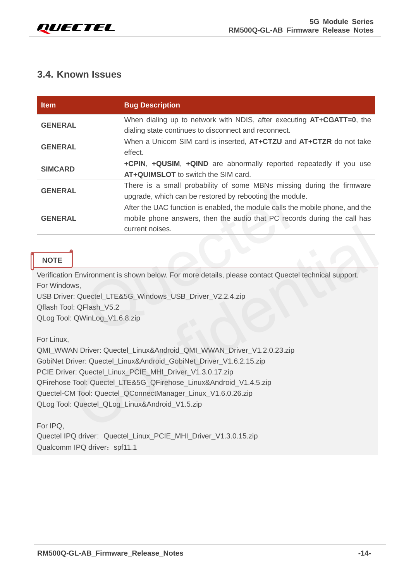

#### **3.4. Known Issues**

| <b>Item</b>                                                               | <b>Bug Description</b>                                                                                                                                                       |  |  |
|---------------------------------------------------------------------------|------------------------------------------------------------------------------------------------------------------------------------------------------------------------------|--|--|
| <b>GENERAL</b>                                                            | When dialing up to network with NDIS, after executing <b>AT+CGATT=0</b> , the<br>dialing state continues to disconnect and reconnect.                                        |  |  |
| <b>GENERAL</b>                                                            | When a Unicom SIM card is inserted, AT+CTZU and AT+CTZR do not take<br>effect.                                                                                               |  |  |
| <b>SIMCARD</b>                                                            | +CPIN, +QUSIM, +QIND are abnormally reported repeatedly if you use<br>AT+QUIMSLOT to switch the SIM card.                                                                    |  |  |
| <b>GENERAL</b>                                                            | There is a small probability of some MBNs missing during the firmware<br>upgrade, which can be restored by rebooting the module.                                             |  |  |
| <b>GENERAL</b>                                                            | After the UAC function is enabled, the module calls the mobile phone, and the<br>mobile phone answers, then the audio that PC records during the call has<br>current noises. |  |  |
| <b>NOTE</b>                                                               |                                                                                                                                                                              |  |  |
| For Windows,<br>Qflash Tool: QFlash_V5.2<br>QLog Tool: QWinLog_V1.6.8.zip | Verification Environment is shown below. For more details, please contact Quectel technical support.<br>USB Driver: Quectel_LTE&5G_Windows_USB_Driver_V2.2.4.zip             |  |  |

#### **NOTE**

For Linux,

QMI\_WWAN Driver: Quectel\_Linux&Android\_QMI\_WWAN\_Driver\_V1.2.0.23.zip GobiNet Driver: Quectel\_Linux&Android\_GobiNet\_Driver\_V1.6.2.15.zip PCIE Driver: Quectel Linux\_PCIE\_MHI\_Driver\_V1.3.0.17.zip QFirehose Tool: Quectel\_LTE&5G\_QFirehose\_Linux&Android\_V1.4.5.zip Quectel-CM Tool: Quectel\_QConnectManager\_Linux\_V1.6.0.26.zip QLog Tool: Quectel\_QLog\_Linux&Android\_V1.5.zip current noises.<br>
1<br>
Environment is shown below. For more details, please contact Quectel technical support.<br>
ws,<br>
1: Quectel\_LTE&5G\_Windows\_USB\_Driver\_V2.2.4.zip<br>
1: QFlash\_V5.2<br>
QWinLog\_V1.6.8.zip<br>
NN Driver: Quectel\_Linu

For IPQ,

Quectel IPQ driver: Quectel\_Linux\_PCIE\_MHI\_Driver\_V1.3.0.15.zip Qualcomm IPQ driver: spf11.1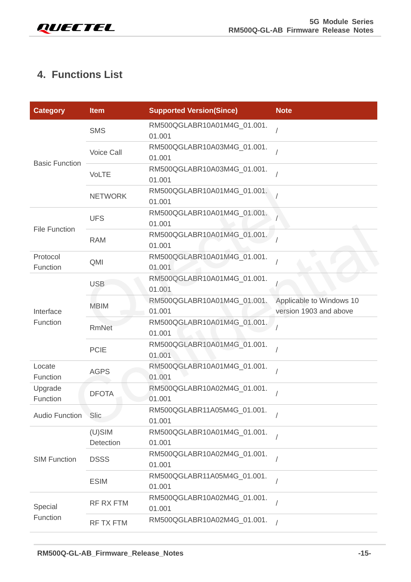

# <span id="page-15-0"></span>**4. Functions List**

| <b>Category</b>       | <b>Item</b>            | <b>Supported Version(Since)</b>       | <b>Note</b>                                        |
|-----------------------|------------------------|---------------------------------------|----------------------------------------------------|
| <b>Basic Function</b> | <b>SMS</b>             | RM500QGLABR10A01M4G_01.001.<br>01.001 |                                                    |
|                       | Voice Call             | RM500QGLABR10A03M4G_01.001.<br>01.001 |                                                    |
|                       | <b>VoLTE</b>           | RM500QGLABR10A03M4G_01.001.<br>01.001 |                                                    |
|                       | <b>NETWORK</b>         | RM500QGLABR10A01M4G_01.001.<br>01.001 |                                                    |
| <b>File Function</b>  | <b>UFS</b>             | RM500QGLABR10A01M4G_01.001.<br>01.001 |                                                    |
|                       | <b>RAM</b>             | RM500QGLABR10A01M4G_01.001.<br>01.001 |                                                    |
| Protocol<br>Function  | QMI                    | RM500QGLABR10A01M4G_01.001.<br>01.001 |                                                    |
| Interface<br>Function | <b>USB</b>             | RM500QGLABR10A01M4G_01.001.<br>01.001 |                                                    |
|                       | <b>MBIM</b>            | RM500QGLABR10A01M4G_01.001.<br>01.001 | Applicable to Windows 10<br>version 1903 and above |
|                       | <b>RmNet</b>           | RM500QGLABR10A01M4G_01.001.<br>01.001 |                                                    |
|                       | <b>PCIE</b>            | RM500QGLABR10A01M4G_01.001.<br>01.001 |                                                    |
| Locate<br>Function    | <b>AGPS</b>            | RM500QGLABR10A01M4G_01.001.<br>01.001 |                                                    |
| Upgrade<br>Function   | <b>DFOTA</b>           | RM500QGLABR10A02M4G_01.001.<br>01.001 |                                                    |
| <b>Audio Function</b> | Slic                   | RM500QGLABR11A05M4G_01.001.<br>01.001 |                                                    |
| <b>SIM Function</b>   | $(U)$ SIM<br>Detection | RM500QGLABR10A01M4G_01.001.<br>01.001 |                                                    |
|                       | <b>DSSS</b>            | RM500QGLABR10A02M4G_01.001.<br>01.001 |                                                    |
|                       | <b>ESIM</b>            | RM500QGLABR11A05M4G_01.001.<br>01.001 |                                                    |
| Special<br>Function   | <b>RF RX FTM</b>       | RM500QGLABR10A02M4G_01.001.<br>01.001 |                                                    |
|                       | RF TX FTM              | RM500QGLABR10A02M4G_01.001.           |                                                    |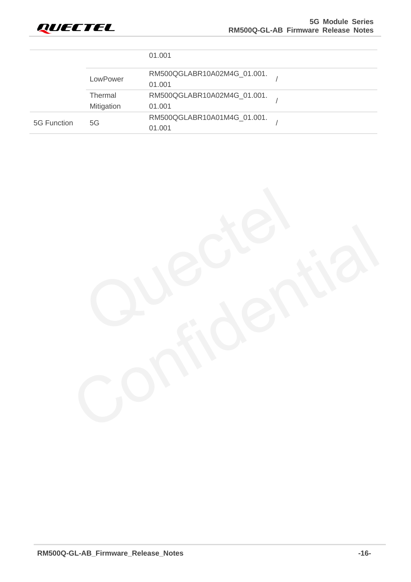

|             |                | 01.001                      |  |
|-------------|----------------|-----------------------------|--|
|             | LowPower       | RM500QGLABR10A02M4G_01.001. |  |
|             |                | 01.001                      |  |
|             | <b>Thermal</b> | RM500QGLABR10A02M4G_01.001. |  |
|             | Mitigation     | 01.001                      |  |
| 5G Function | 5G             | RM500QGLABR10A01M4G_01.001. |  |
|             |                | 01.001                      |  |